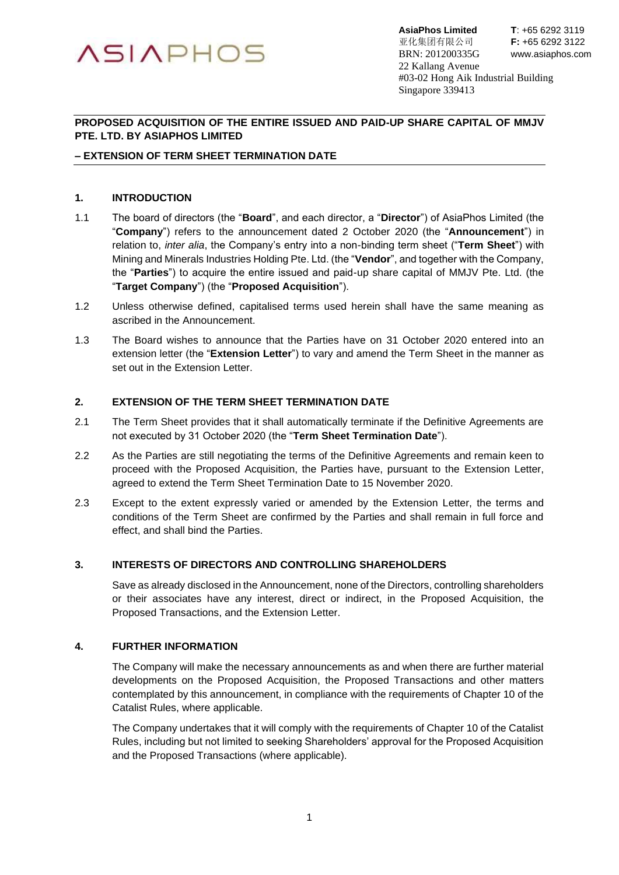# **ASIAPHOS**

**AsiaPhos Limited T**: +65 6292 3119 亚化集团有限公司 **F:** +65 6292 3122 BRN: 201200335G www.asiaphos.com 22 Kallang Avenue #03-02 Hong Aik Industrial Building Singapore 339413

# **PROPOSED ACQUISITION OF THE ENTIRE ISSUED AND PAID-UP SHARE CAPITAL OF MMJV PTE. LTD. BY ASIAPHOS LIMITED**

# **– EXTENSION OF TERM SHEET TERMINATION DATE**

## **1. INTRODUCTION**

- 1.1 The board of directors (the "**Board**", and each director, a "**Director**") of AsiaPhos Limited (the "**Company**") refers to the announcement dated 2 October 2020 (the "**Announcement**") in relation to, *inter alia*, the Company's entry into a non-binding term sheet ("**Term Sheet**") with Mining and Minerals Industries Holding Pte. Ltd. (the "**Vendor**", and together with the Company, the "**Parties**") to acquire the entire issued and paid-up share capital of MMJV Pte. Ltd. (the "**Target Company**") (the "**Proposed Acquisition**").
- 1.2 Unless otherwise defined, capitalised terms used herein shall have the same meaning as ascribed in the Announcement.
- 1.3 The Board wishes to announce that the Parties have on 31 October 2020 entered into an extension letter (the "**Extension Letter**") to vary and amend the Term Sheet in the manner as set out in the Extension Letter.

# **2. EXTENSION OF THE TERM SHEET TERMINATION DATE**

- 2.1 The Term Sheet provides that it shall automatically terminate if the Definitive Agreements are not executed by 31 October 2020 (the "**Term Sheet Termination Date**").
- 2.2 As the Parties are still negotiating the terms of the Definitive Agreements and remain keen to proceed with the Proposed Acquisition, the Parties have, pursuant to the Extension Letter, agreed to extend the Term Sheet Termination Date to 15 November 2020.
- 2.3 Except to the extent expressly varied or amended by the Extension Letter, the terms and conditions of the Term Sheet are confirmed by the Parties and shall remain in full force and effect, and shall bind the Parties.

## **3. INTERESTS OF DIRECTORS AND CONTROLLING SHAREHOLDERS**

Save as already disclosed in the Announcement, none of the Directors, controlling shareholders or their associates have any interest, direct or indirect, in the Proposed Acquisition, the Proposed Transactions, and the Extension Letter.

## **4. FURTHER INFORMATION**

The Company will make the necessary announcements as and when there are further material developments on the Proposed Acquisition, the Proposed Transactions and other matters contemplated by this announcement, in compliance with the requirements of Chapter 10 of the Catalist Rules, where applicable.

The Company undertakes that it will comply with the requirements of Chapter 10 of the Catalist Rules, including but not limited to seeking Shareholders' approval for the Proposed Acquisition and the Proposed Transactions (where applicable).